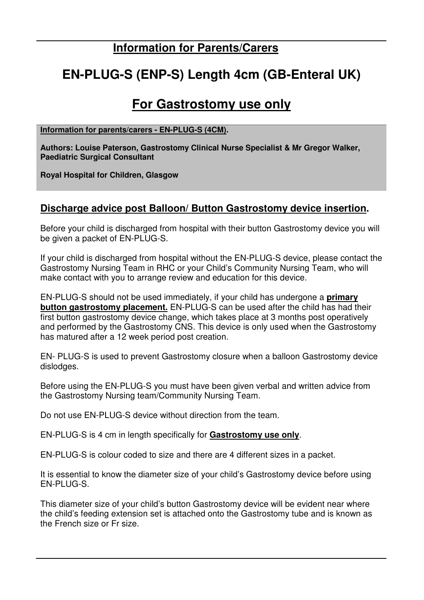### **Information for Parents/Carers**

# **EN-PLUG-S (ENP-S) Length 4cm (GB-Enteral UK)**

## **For Gastrostomy use only**

#### **Information for parents/carers - EN-PLUG-S (4CM).**

**Authors: Louise Paterson, Gastrostomy Clinical Nurse Specialist & Mr Gregor Walker, Paediatric Surgical Consultant** 

**Royal Hospital for Children, Glasgow** 

### **Discharge advice post Balloon/ Button Gastrostomy device insertion.**

Before your child is discharged from hospital with their button Gastrostomy device you will be given a packet of EN-PLUG-S.

If your child is discharged from hospital without the EN-PLUG-S device, please contact the Gastrostomy Nursing Team in RHC or your Child's Community Nursing Team, who will make contact with you to arrange review and education for this device.

EN-PLUG-S should not be used immediately, if your child has undergone a **primary button gastrostomy placement.** EN-PLUG-S can be used after the child has had their first button gastrostomy device change, which takes place at 3 months post operatively and performed by the Gastrostomy CNS. This device is only used when the Gastrostomy has matured after a 12 week period post creation.

EN- PLUG-S is used to prevent Gastrostomy closure when a balloon Gastrostomy device dislodges.

Before using the EN-PLUG-S you must have been given verbal and written advice from the Gastrostomy Nursing team/Community Nursing Team.

Do not use EN-PLUG-S device without direction from the team.

EN-PLUG-S is 4 cm in length specifically for **Gastrostomy use only**.

EN-PLUG-S is colour coded to size and there are 4 different sizes in a packet.

It is essential to know the diameter size of your child's Gastrostomy device before using EN-PLUG-S.

This diameter size of your child's button Gastrostomy device will be evident near where the child's feeding extension set is attached onto the Gastrostomy tube and is known as the French size or Fr size.